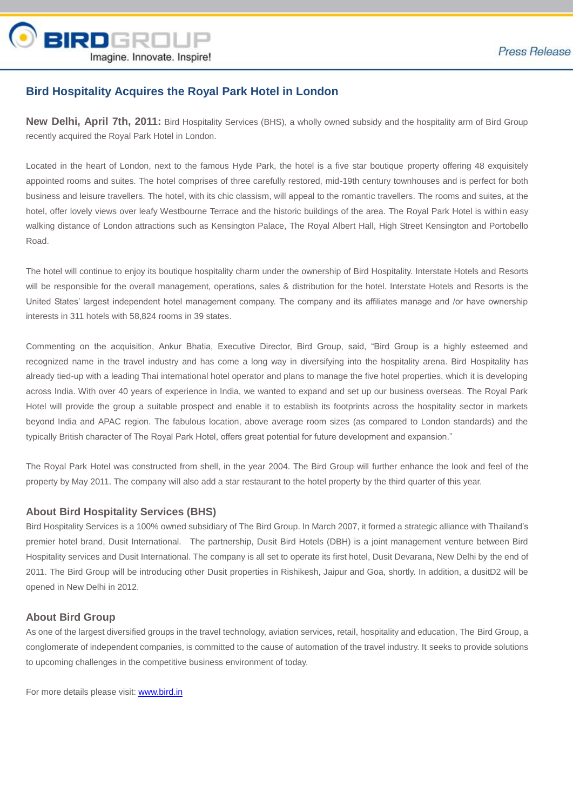

# **Bird Hospitality Acquires the Royal Park Hotel in London**

**New Delhi, April 7th, 2011:** Bird Hospitality Services (BHS), a wholly owned subsidy and the hospitality arm of Bird Group recently acquired the Royal Park Hotel in London.

Located in the heart of London, next to the famous Hyde Park, the hotel is a five star boutique property offering 48 exquisitely appointed rooms and suites. The hotel comprises of three carefully restored, mid-19th century townhouses and is perfect for both business and leisure travellers. The hotel, with its chic classism, will appeal to the romantic travellers. The rooms and suites, at the hotel, offer lovely views over leafy Westbourne Terrace and the historic buildings of the area. The Royal Park Hotel is within easy walking distance of London attractions such as Kensington Palace, The Royal Albert Hall, High Street Kensington and Portobello Road.

The hotel will continue to enjoy its boutique hospitality charm under the ownership of Bird Hospitality. Interstate Hotels and Resorts will be responsible for the overall management, operations, sales & distribution for the hotel. Interstate Hotels and Resorts is the United States' largest independent hotel management company. The company and its affiliates manage and /or have ownership interests in 311 hotels with 58,824 rooms in 39 states.

Commenting on the acquisition, Ankur Bhatia, Executive Director, Bird Group, said, "Bird Group is a highly esteemed and recognized name in the travel industry and has come a long way in diversifying into the hospitality arena. Bird Hospitality has already tied-up with a leading Thai international hotel operator and plans to manage the five hotel properties, which it is developing across India. With over 40 years of experience in India, we wanted to expand and set up our business overseas. The Royal Park Hotel will provide the group a suitable prospect and enable it to establish its footprints across the hospitality sector in markets beyond India and APAC region. The fabulous location, above average room sizes (as compared to London standards) and the typically British character of The Royal Park Hotel, offers great potential for future development and expansion."

The Royal Park Hotel was constructed from shell, in the year 2004. The Bird Group will further enhance the look and feel of the property by May 2011. The company will also add a star restaurant to the hotel property by the third quarter of this year.

#### **About Bird Hospitality Services (BHS)**

Bird Hospitality Services is a 100% owned subsidiary of The Bird Group. In March 2007, it formed a strategic alliance with Thailand's premier hotel brand, Dusit International. The partnership, Dusit Bird Hotels (DBH) is a joint management venture between Bird Hospitality services and Dusit International. The company is all set to operate its first hotel, Dusit Devarana, New Delhi by the end of 2011. The Bird Group will be introducing other Dusit properties in Rishikesh, Jaipur and Goa, shortly. In addition, a dusitD2 will be opened in New Delhi in 2012.

## **About Bird Group**

As one of the largest diversified groups in the travel technology, aviation services, retail, hospitality and education, The Bird Group, a conglomerate of independent companies, is committed to the cause of automation of the travel industry. It seeks to provide solutions to upcoming challenges in the competitive business environment of today.

For more details please visit: [www.bird.in](http://www.bird.in/)